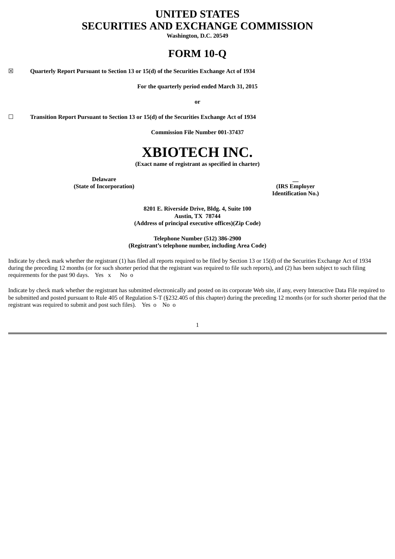## **UNITED STATES SECURITIES AND EXCHANGE COMMISSION**

**Washington, D.C. 20549**

## **FORM 10-Q**

☒ **Quarterly Report Pursuant to Section 13 or 15(d) of the Securities Exchange Act of 1934**

**For the quarterly period ended March 31, 2015**

**or**

☐ **Transition Report Pursuant to Section 13 or 15(d) of the Securities Exchange Act of 1934**

**Commission File Number 001-37437**

# **XBIOTECH INC.**

**(Exact name of registrant as specified in charter)**

**Delaware \_\_ (State of Incorporation) (IRS Employer**

**Identification No.)**

**8201 E. Riverside Drive, Bldg. 4, Suite 100 Austin, TX 78744 (Address of principal executive offices)(Zip Code)**

**Telephone Number (512) 386-2900 (Registrant's telephone number, including Area Code)**

Indicate by check mark whether the registrant (1) has filed all reports required to be filed by Section 13 or 15(d) of the Securities Exchange Act of 1934 during the preceding 12 months (or for such shorter period that the registrant was required to file such reports), and (2) has been subject to such filing requirements for the past 90 days. Yes x No o

Indicate by check mark whether the registrant has submitted electronically and posted on its corporate Web site, if any, every Interactive Data File required to be submitted and posted pursuant to Rule 405 of Regulation S-T (§232.405 of this chapter) during the preceding 12 months (or for such shorter period that the registrant was required to submit and post such files). Yes o No o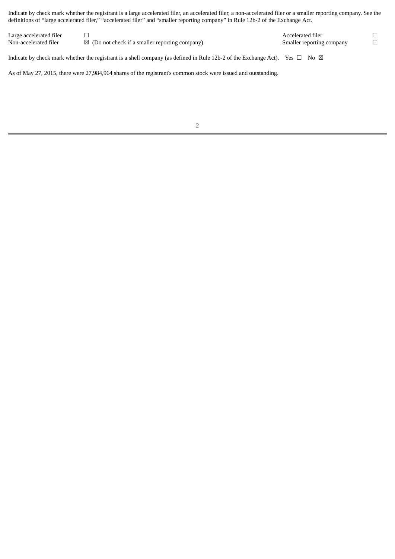Indicate by check mark whether the registrant is a large accelerated filer, an accelerated filer, a non-accelerated filer or a smaller reporting company. See the definitions of "large accelerated filer," "accelerated filer" and "smaller reporting company" in Rule 12b-2 of the Exchange Act.

| Large accelerated filer |                                                           | Accelerated filer         |  |
|-------------------------|-----------------------------------------------------------|---------------------------|--|
| Non-accelerated filer   | $\boxtimes$ (Do not check if a smaller reporting company) | Smaller reporting company |  |
|                         |                                                           |                           |  |

Indicate by check mark whether the registrant is a shell company (as defined in Rule 12b-2 of the Exchange Act). Yes  $\Box$  No  $\boxtimes$ 

As of May 27, 2015, there were 27,984,964 shares of the registrant's common stock were issued and outstanding.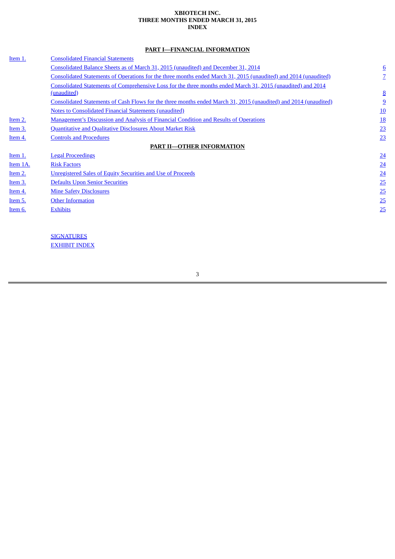### **XBIOTECH INC. THREE MONTHS ENDED MARCH 31, 2015 INDEX**

## **PART I—FINANCIAL INFORMATION**

| Item 1.        | <b>Consolidated Financial Statements</b>                                                                         |                  |
|----------------|------------------------------------------------------------------------------------------------------------------|------------------|
|                | Consolidated Balance Sheets as of March 31, 2015 (unaudited) and December 31, 2014                               | $6\overline{6}$  |
|                | Consolidated Statements of Operations for the three months ended March 31, 2015 (unaudited) and 2014 (unaudited) | $\overline{Z}$   |
|                | Consolidated Statements of Comprehensive Loss for the three months ended March 31, 2015 (unaudited) and 2014     |                  |
|                | (unaudited)                                                                                                      | 8                |
|                | Consolidated Statements of Cash Flows for the three months ended March 31, 2015 (unaudited) and 2014 (unaudited) | 9                |
|                | <b>Notes to Consolidated Financial Statements (unaudited)</b>                                                    | <u>10</u>        |
| Item 2.        | <b>Management's Discussion and Analysis of Financial Condition and Results of Operations</b>                     | <u>18</u>        |
| Item 3.        | <b>Quantitative and Qualitative Disclosures About Market Risk</b>                                                | 23               |
| Item 4.        | <b>Controls and Procedures</b>                                                                                   | 23               |
|                | <b>PART II-OTHER INFORMATION</b>                                                                                 |                  |
| <u>Item 1.</u> | <b>Legal Proceedings</b>                                                                                         | $\underline{24}$ |
| Item 1A.       | <b>Risk Factors</b>                                                                                              | 24               |
| Item 2.        | <b>Unregistered Sales of Equity Securities and Use of Proceeds</b>                                               | 24               |
| Item 3.        | <b>Defaults Upon Senior Securities</b>                                                                           | 25               |
| <u>Item 4.</u> | <b>Mine Safety Disclosures</b>                                                                                   | 25               |
| Item 5.        | <b>Other Information</b>                                                                                         | 25               |
| Item 6.        | <b>Exhibits</b>                                                                                                  | 25               |
|                |                                                                                                                  |                  |
|                |                                                                                                                  |                  |
|                | <b>SIGNATURES</b>                                                                                                |                  |
|                | <b>EXHIBIT INDEX</b>                                                                                             |                  |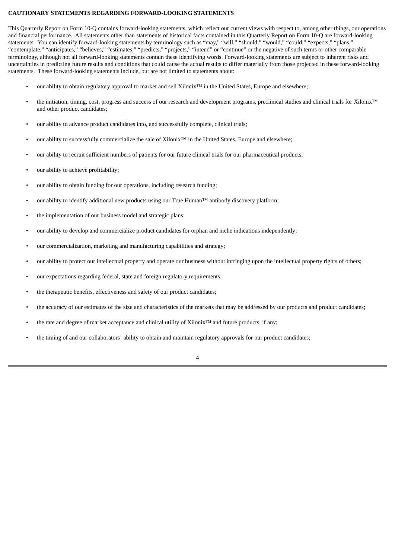### **CAUTIONARY STATEMENTS REGARDING FORWARD-LOOKING STATEMENTS**

This Quarterly Report on Form 10-Q contains forward-looking statements, which reflect our current views with respect to, among other things, our operations and financial performance. All statements other than statements of historical facts contained in this Quarterly Report on Form 10-Q are forward-looking statements. You can identify forward-looking statements by terminology such as "may," "will," "should," "would," "could," "expects," "plans," "contemplate," "anticipates," "believes," "estimates," "predicts," "projects," "intend" or "continue" or the negative of such terms or other comparable terminology, although not all forward-looking statements contain these identifying words. Forward-looking statements are subject to inherent risks and uncertainties in predicting future results and conditions that could cause the actual results to differ materially from those projected in these forward-looking statements. These forward-looking statements include, but are not limited to statements about:

- our ability to obtain regulatory approval to market and sell Xilonix™ in the United States, Europe and elsewhere;
- the initiation, timing, cost, progress and success of our research and development programs, preclinical studies and clinical trials for Xilonix™ and other product candidates;
- our ability to advance product candidates into, and successfully complete, clinical trials;
- our ability to successfully commercialize the sale of Xilonix™ in the United States, Europe and elsewhere;
- our ability to recruit sufficient numbers of patients for our future clinical trials for our pharmaceutical products;
- our ability to achieve profitability;
- our ability to obtain funding for our operations, including research funding;
- our ability to identify additional new products using our True Human™ antibody discovery platform;
- the implementation of our business model and strategic plans;
- our ability to develop and commercialize product candidates for orphan and niche indications independently;
- our commercialization, marketing and manufacturing capabilities and strategy;
- our ability to protect our intellectual property and operate our business without infringing upon the intellectual property rights of others;
- our expectations regarding federal, state and foreign regulatory requirements;
- the therapeutic benefits, effectiveness and safety of our product candidates;
- the accuracy of our estimates of the size and characteristics of the markets that may be addressed by our products and product candidates;

- the rate and degree of market acceptance and clinical utility of Xilonix™ and future products, if any;
- the timing of and our collaborators' ability to obtain and maintain regulatory approvals for our product candidates;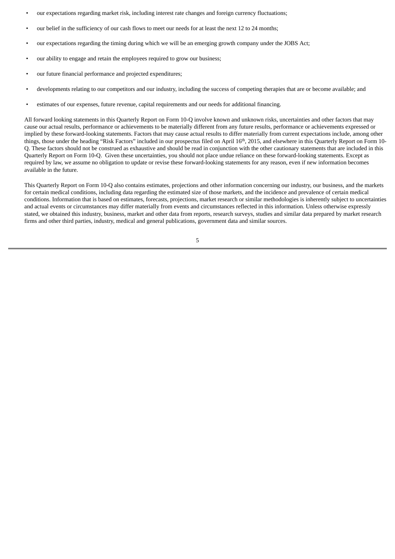- our expectations regarding market risk, including interest rate changes and foreign currency fluctuations;
- our belief in the sufficiency of our cash flows to meet our needs for at least the next 12 to 24 months;
- our expectations regarding the timing during which we will be an emerging growth company under the JOBS Act;
- our ability to engage and retain the employees required to grow our business;
- our future financial performance and projected expenditures;
- developments relating to our competitors and our industry, including the success of competing therapies that are or become available; and
- estimates of our expenses, future revenue, capital requirements and our needs for additional financing.

All forward looking statements in this Quarterly Report on Form 10-Q involve known and unknown risks, uncertainties and other factors that may cause our actual results, performance or achievements to be materially different from any future results, performance or achievements expressed or implied by these forward-looking statements. Factors that may cause actual results to differ materially from current expectations include, among other things, those under the heading "Risk Factors" included in our prospectus filed on April 16<sup>th</sup>, 2015, and elsewhere in this Quarterly Report on Form 10-Q. These factors should not be construed as exhaustive and should be read in conjunction with the other cautionary statements that are included in this Quarterly Report on Form 10-Q. Given these uncertainties, you should not place undue reliance on these forward-looking statements. Except as required by law, we assume no obligation to update or revise these forward-looking statements for any reason, even if new information becomes available in the future.

This Quarterly Report on Form 10-Q also contains estimates, projections and other information concerning our industry, our business, and the markets for certain medical conditions, including data regarding the estimated size of those markets, and the incidence and prevalence of certain medical conditions. Information that is based on estimates, forecasts, projections, market research or similar methodologies is inherently subject to uncertainties and actual events or circumstances may differ materially from events and circumstances reflected in this information. Unless otherwise expressly stated, we obtained this industry, business, market and other data from reports, research surveys, studies and similar data prepared by market research firms and other third parties, industry, medical and general publications, government data and similar sources.

<sup>5</sup>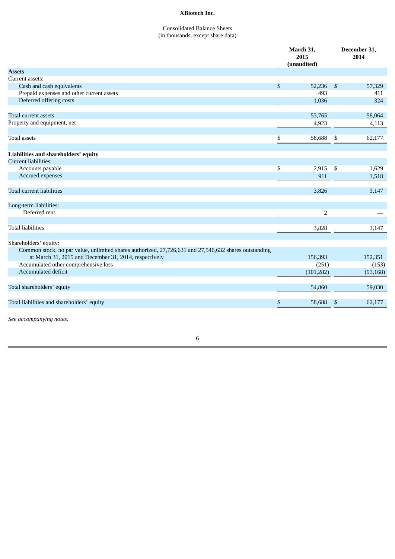### <span id="page-5-0"></span>**XBiotech Inc.**

### Consolidated Balance Sheets (in thousands, except share data)

|                                                                                                       |               | March 31,<br>2015<br>(unaudited) |    | December 31,<br>2014 |
|-------------------------------------------------------------------------------------------------------|---------------|----------------------------------|----|----------------------|
| <b>Assets</b>                                                                                         |               |                                  |    |                      |
| Current assets:                                                                                       |               |                                  |    |                      |
| Cash and cash equivalents                                                                             | \$            | 52,236                           | \$ | 57,329               |
| Prepaid expenses and other current assets                                                             |               | 493                              |    | 411                  |
| Deferred offering costs                                                                               |               | 1,036                            |    | 324                  |
| Total current assets                                                                                  |               | 53,765                           |    | 58,064               |
| Property and equipment, net                                                                           |               | 4,923                            |    | 4,113                |
| <b>Total assets</b>                                                                                   | $\frac{1}{2}$ | 58,688                           | S  | 62,177               |
| Liabilities and shareholders' equity                                                                  |               |                                  |    |                      |
| <b>Current liabilities:</b>                                                                           |               |                                  |    |                      |
| Accounts payable                                                                                      | \$            | 2,915                            | \$ | 1,629                |
| Accrued expenses                                                                                      |               | 911                              |    | 1,518                |
| <b>Total current liabilities</b>                                                                      |               | 3.826                            |    | 3,147                |
| Long-term liabilities:                                                                                |               |                                  |    |                      |
| Deferred rent                                                                                         |               | 2                                |    |                      |
| <b>Total liabilities</b>                                                                              |               | 3,828                            |    | 3,147                |
| Shareholders' equity:                                                                                 |               |                                  |    |                      |
| Common stock, no par value, unlimited shares authorized, 27,726,631 and 27,546,632 shares outstanding |               |                                  |    |                      |
| at March 31, 2015 and December 31, 2014, respectively                                                 |               | 156,393                          |    | 152,351              |
| Accumulated other comprehensive loss                                                                  |               | (251)                            |    | (153)                |
| Accumulated deficit                                                                                   |               | (101, 282)                       |    | (93, 168)            |
| Total shareholders' equity                                                                            |               | 54,860                           |    | 59,030               |
| Total liabilities and shareholders' equity                                                            | \$            | 58,688                           | \$ | 62,177               |
| See accompanying notes.                                                                               |               |                                  |    |                      |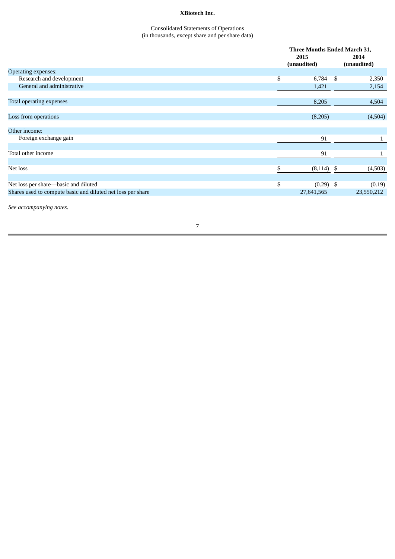### <span id="page-6-0"></span>**XBiotech Inc.**

### Consolidated Statements of Operations (in thousands, except share and per share data)

|                                                             |                     | Three Months Ended March 31, |                     |  |
|-------------------------------------------------------------|---------------------|------------------------------|---------------------|--|
|                                                             | 2015<br>(unaudited) |                              | 2014<br>(unaudited) |  |
| Operating expenses:                                         |                     |                              |                     |  |
| Research and development                                    | \$                  | 6,784<br>- \$                | 2,350               |  |
| General and administrative                                  | 1,421               |                              | 2,154               |  |
|                                                             |                     |                              |                     |  |
| Total operating expenses                                    | 8,205               |                              | 4,504               |  |
|                                                             |                     |                              |                     |  |
| Loss from operations                                        | (8,205)             |                              | (4,504)             |  |
|                                                             |                     |                              |                     |  |
| Other income:                                               |                     |                              |                     |  |
| Foreign exchange gain                                       |                     | 91                           |                     |  |
|                                                             |                     |                              |                     |  |
| Total other income                                          |                     | 91                           |                     |  |
|                                                             |                     |                              |                     |  |
| Net loss                                                    |                     | $(8,114)$ \$                 | (4,503)             |  |
|                                                             |                     |                              |                     |  |
| Net loss per share—basic and diluted                        | \$                  | $(0.29)$ \$                  | (0.19)              |  |
| Shares used to compute basic and diluted net loss per share | 27,641,565          |                              | 23,550,212          |  |
|                                                             |                     |                              |                     |  |

*See accompanying notes.*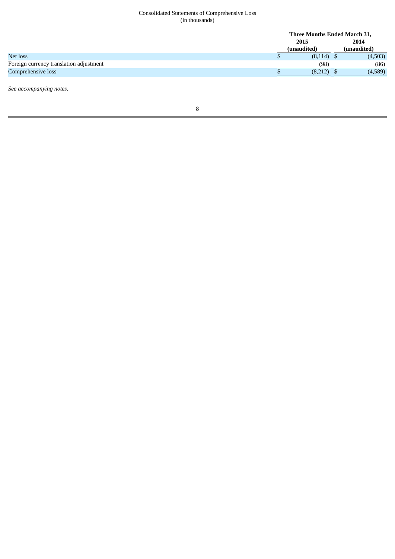### <span id="page-7-0"></span>Consolidated Statements of Comprehensive Loss (in thousands)

|                                         |   | Three Months Ended March 31, |  |             |  |
|-----------------------------------------|---|------------------------------|--|-------------|--|
|                                         |   | 2014<br>2015                 |  |             |  |
|                                         |   | (unaudited)                  |  | (unaudited) |  |
| Net loss                                | Φ | $(8,114)$ \$                 |  | (4,503)     |  |
| Foreign currency translation adjustment |   | (98)                         |  | (86)        |  |
| Comprehensive loss                      |   | (8,212)                      |  | (4,589)     |  |

*See accompanying notes.*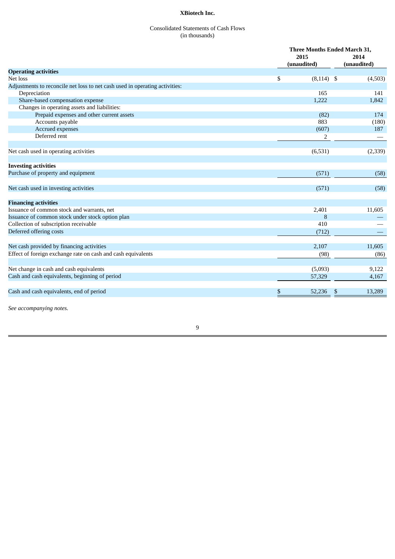### <span id="page-8-0"></span>**XBiotech Inc.**

### Consolidated Statements of Cash Flows (in thousands)

|                                                                             | <b>Three Months Ended March 31,</b><br>2015<br>2014 |              |  |
|-----------------------------------------------------------------------------|-----------------------------------------------------|--------------|--|
|                                                                             | (unaudited)                                         | (unaudited)  |  |
| <b>Operating activities</b>                                                 |                                                     |              |  |
| Net loss                                                                    | \$<br>$(8,114)$ \$                                  | (4,503)      |  |
| Adjustments to reconcile net loss to net cash used in operating activities: |                                                     |              |  |
| Depreciation                                                                | 165                                                 | 141          |  |
| Share-based compensation expense                                            | 1,222                                               | 1,842        |  |
| Changes in operating assets and liabilities:                                |                                                     |              |  |
| Prepaid expenses and other current assets                                   | (82)                                                | 174          |  |
| Accounts payable                                                            | 883                                                 | (180)        |  |
| Accrued expenses                                                            | (607)                                               | 187          |  |
| Deferred rent                                                               |                                                     | 2            |  |
| Net cash used in operating activities                                       | (6,531)                                             | (2, 339)     |  |
| <b>Investing activities</b>                                                 |                                                     |              |  |
| Purchase of property and equipment                                          | (571)                                               | (58)         |  |
| Net cash used in investing activities                                       | (571)                                               | (58)         |  |
| <b>Financing activities</b>                                                 |                                                     |              |  |
| Issuance of common stock and warrants, net                                  | 2,401                                               | 11,605       |  |
| Issuance of common stock under stock option plan                            |                                                     | 8            |  |
| Collection of subscription receivable                                       | 410                                                 |              |  |
| Deferred offering costs                                                     | (712)                                               |              |  |
| Net cash provided by financing activities                                   | 2,107                                               | 11,605       |  |
| Effect of foreign exchange rate on cash and cash equivalents                | (98)                                                | (86)         |  |
| Net change in cash and cash equivalents                                     | (5,093)                                             | 9,122        |  |
| Cash and cash equivalents, beginning of period                              | 57,329                                              | 4,167        |  |
| Cash and cash equivalents, end of period                                    | 52,236<br>\$                                        | 13,289<br>\$ |  |

*See accompanying notes.*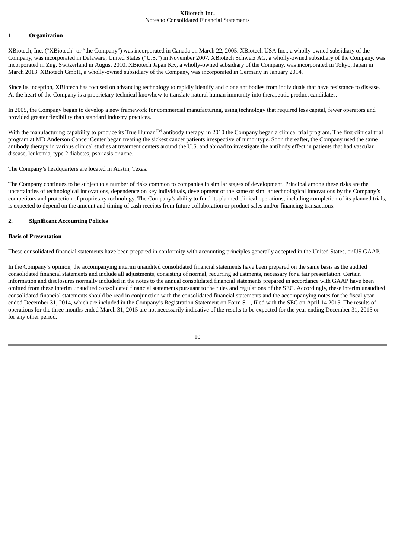#### <span id="page-9-0"></span>**XBiotech Inc.** Notes to Consolidated Financial Statements

### **1. Organization**

XBiotech, Inc. ("XBiotech" or "the Company") was incorporated in Canada on March 22, 2005. XBiotech USA Inc., a wholly-owned subsidiary of the Company, was incorporated in Delaware, United States ("U.S.") in November 2007. XBiotech Schweiz AG, a wholly-owned subsidiary of the Company, was incorporated in Zug, Switzerland in August 2010. XBiotech Japan KK, a wholly-owned subsidiary of the Company, was incorporated in Tokyo, Japan in March 2013. XBiotech GmbH, a wholly-owned subsidiary of the Company, was incorporated in Germany in January 2014.

Since its inception, XBiotech has focused on advancing technology to rapidly identify and clone antibodies from individuals that have resistance to disease. At the heart of the Company is a proprietary technical knowhow to translate natural human immunity into therapeutic product candidates.

In 2005, the Company began to develop a new framework for commercial manufacturing, using technology that required less capital, fewer operators and provided greater flexibility than standard industry practices.

With the manufacturing capability to produce its True Human™ antibody therapy, in 2010 the Company began a clinical trial program. The first clinical trial program at MD Anderson Cancer Center began treating the sickest cancer patients irrespective of tumor type. Soon thereafter, the Company used the same antibody therapy in various clinical studies at treatment centers around the U.S. and abroad to investigate the antibody effect in patients that had vascular disease, leukemia, type 2 diabetes, psoriasis or acne.

The Company's headquarters are located in Austin, Texas.

The Company continues to be subject to a number of risks common to companies in similar stages of development. Principal among these risks are the uncertainties of technological innovations, dependence on key individuals, development of the same or similar technological innovations by the Company's competitors and protection of proprietary technology. The Company's ability to fund its planned clinical operations, including completion of its planned trials, is expected to depend on the amount and timing of cash receipts from future collaboration or product sales and/or financing transactions.

### **2. Significant Accounting Policies**

### **Basis of Presentation**

These consolidated financial statements have been prepared in conformity with accounting principles generally accepted in the United States, or US GAAP.

In the Company's opinion, the accompanying interim unaudited consolidated financial statements have been prepared on the same basis as the audited consolidated financial statements and include all adjustments, consisting of normal, recurring adjustments, necessary for a fair presentation. Certain information and disclosures normally included in the notes to the annual consolidated financial statements prepared in accordance with GAAP have been omitted from these interim unaudited consolidated financial statements pursuant to the rules and regulations of the SEC. Accordingly, these interim unaudited consolidated financial statements should be read in conjunction with the consolidated financial statements and the accompanying notes for the fiscal year ended December 31, 2014, which are included in the Company's Registration Statement on Form S-1, filed with the SEC on April 14 2015. The results of operations for the three months ended March 31, 2015 are not necessarily indicative of the results to be expected for the year ending December 31, 2015 or for any other period.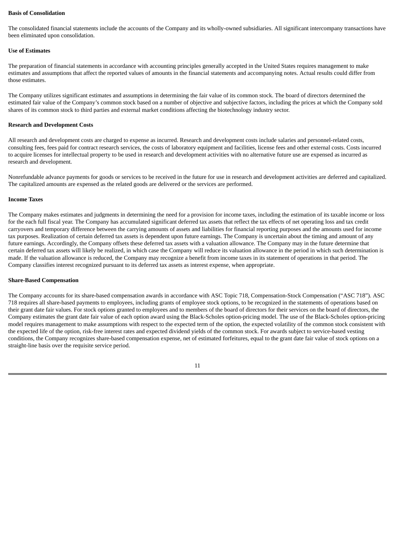### **Basis of Consolidation**

The consolidated financial statements include the accounts of the Company and its wholly-owned subsidiaries. All significant intercompany transactions have been eliminated upon consolidation.

### **Use of Estimates**

The preparation of financial statements in accordance with accounting principles generally accepted in the United States requires management to make estimates and assumptions that affect the reported values of amounts in the financial statements and accompanying notes. Actual results could differ from those estimates.

The Company utilizes significant estimates and assumptions in determining the fair value of its common stock. The board of directors determined the estimated fair value of the Company's common stock based on a number of objective and subjective factors, including the prices at which the Company sold shares of its common stock to third parties and external market conditions affecting the biotechnology industry sector.

### **Research and Development Costs**

All research and development costs are charged to expense as incurred. Research and development costs include salaries and personnel-related costs, consulting fees, fees paid for contract research services, the costs of laboratory equipment and facilities, license fees and other external costs. Costs incurred to acquire licenses for intellectual property to be used in research and development activities with no alternative future use are expensed as incurred as research and development.

Nonrefundable advance payments for goods or services to be received in the future for use in research and development activities are deferred and capitalized. The capitalized amounts are expensed as the related goods are delivered or the services are performed.

### **Income Taxes**

The Company makes estimates and judgments in determining the need for a provision for income taxes, including the estimation of its taxable income or loss for the each full fiscal year. The Company has accumulated significant deferred tax assets that reflect the tax effects of net operating loss and tax credit carryovers and temporary difference between the carrying amounts of assets and liabilities for financial reporting purposes and the amounts used for income tax purposes. Realization of certain deferred tax assets is dependent upon future earnings. The Company is uncertain about the timing and amount of any future earnings. Accordingly, the Company offsets these deferred tax assets with a valuation allowance. The Company may in the future determine that certain deferred tax assets will likely be realized, in which case the Company will reduce its valuation allowance in the period in which such determination is made. If the valuation allowance is reduced, the Company may recognize a benefit from income taxes in its statement of operations in that period. The Company classifies interest recognized pursuant to its deferred tax assets as interest expense, when appropriate.

### **Share-Based Compensation**

The Company accounts for its share-based compensation awards in accordance with ASC Topic 718, Compensation-Stock Compensation ("ASC 718"). ASC 718 requires all share-based payments to employees, including grants of employee stock options, to be recognized in the statements of operations based on their grant date fair values. For stock options granted to employees and to members of the board of directors for their services on the board of directors, the Company estimates the grant date fair value of each option award using the Black-Scholes option-pricing model. The use of the Black-Scholes option-pricing model requires management to make assumptions with respect to the expected term of the option, the expected volatility of the common stock consistent with the expected life of the option, risk-free interest rates and expected dividend yields of the common stock. For awards subject to service-based vesting conditions, the Company recognizes share-based compensation expense, net of estimated forfeitures, equal to the grant date fair value of stock options on a straight-line basis over the requisite service period.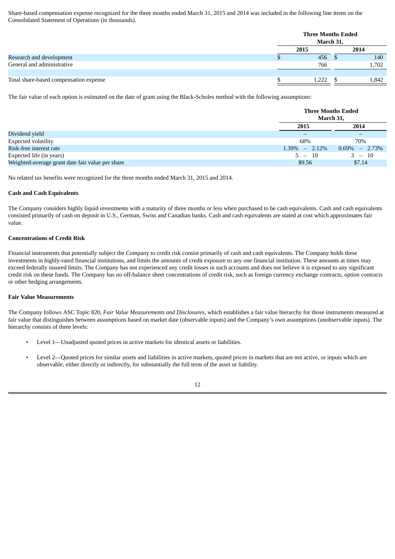Share-based compensation expense recognized for the three months ended March 31, 2015 and 2014 was included in the following line items on the Consolidated Statement of Operations (in thousands).

|                                        | <b>Three Months Ended</b><br>March 31, |       |  |       |
|----------------------------------------|----------------------------------------|-------|--|-------|
|                                        |                                        | 2015  |  | 2014  |
| Research and development               |                                        | 456   |  | 140   |
| General and administrative             |                                        | 766   |  | 1,702 |
| Total share-based compensation expense |                                        | 1,222 |  | 1,842 |

The fair value of each option is estimated on the date of grant using the Black-Scholes method with the following assumptions:

| <b>Three Months Ended</b><br>March 31, |                   |  |
|----------------------------------------|-------------------|--|
| 2015                                   | 2014              |  |
|                                        |                   |  |
| 68%                                    | 70%               |  |
| $1.39\% - 2.12\%$                      | $0.69\% - 2.73\%$ |  |
| $5 - 10$                               | $3 - 10$          |  |
| \$9.56                                 | \$7.14            |  |
|                                        |                   |  |

No related tax benefits were recognized for the three months ended March 31, 2015 and 2014.

### **Cash and Cash Equivalents**

The Company considers highly liquid investments with a maturity of three months or less when purchased to be cash equivalents. Cash and cash equivalents consisted primarily of cash on deposit in U.S., German, Swiss and Canadian banks. Cash and cash equivalents are stated at cost which approximates fair value.

### **Concentrations of Credit Risk**

Financial instruments that potentially subject the Company to credit risk consist primarily of cash and cash equivalents. The Company holds these investments in highly-rated financial institutions, and limits the amounts of credit exposure to any one financial institution. These amounts at times may exceed federally insured limits. The Company has not experienced any credit losses in such accounts and does not believe it is exposed to any significant credit risk on these funds. The Company has no off-balance sheet concentrations of credit risk, such as foreign currency exchange contracts, option contracts or other hedging arrangements.

### **Fair Value Measurements**

The Company follows ASC Topic 820, *Fair Value Measurements and Disclosures*, which establishes a fair value hierarchy for those instruments measured at fair value that distinguishes between assumptions based on market date (observable inputs) and the Company's own assumptions (unobservable inputs). The hierarchy consists of three levels:

- Level 1—Unadjusted quoted prices in active markets for identical assets or liabilities.
- Level 2—Quoted prices for similar assets and liabilities in active markets, quoted prices in markets that are not active, or inputs which are observable, either directly or indirectly, for substantially the full term of the asset or liability.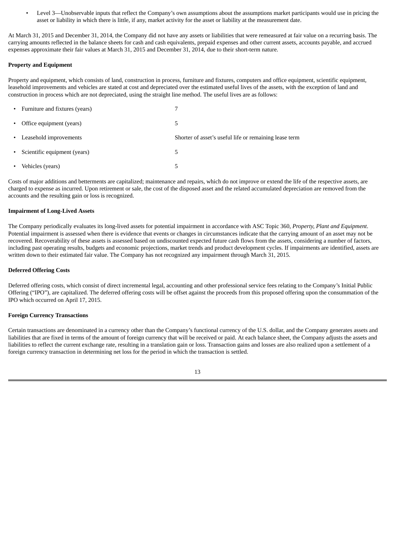• Level 3—Unobservable inputs that reflect the Company's own assumptions about the assumptions market participants would use in pricing the asset or liability in which there is little, if any, market activity for the asset or liability at the measurement date.

At March 31, 2015 and December 31, 2014, the Company did not have any assets or liabilities that were remeasured at fair value on a recurring basis. The carrying amounts reflected in the balance sheets for cash and cash equivalents, prepaid expenses and other current assets, accounts payable, and accrued expenses approximate their fair values at March 31, 2015 and December 31, 2014, due to their short-term nature.

### **Property and Equipment**

Property and equipment, which consists of land, construction in process, furniture and fixtures, computers and office equipment, scientific equipment, leasehold improvements and vehicles are stated at cost and depreciated over the estimated useful lives of the assets, with the exception of land and construction in process which are not depreciated, using the straight line method. The useful lives are as follows:

| $\bullet$ | Furniture and fixtures (years) |                                                        |
|-----------|--------------------------------|--------------------------------------------------------|
|           | Office equipment (years)       | 5                                                      |
| $\bullet$ | Leasehold improvements         | Shorter of asset's useful life or remaining lease term |
|           | Scientific equipment (years)   | 5                                                      |
|           | Vehicles (years)               | 5                                                      |

Costs of major additions and betterments are capitalized; maintenance and repairs, which do not improve or extend the life of the respective assets, are charged to expense as incurred. Upon retirement or sale, the cost of the disposed asset and the related accumulated depreciation are removed from the accounts and the resulting gain or loss is recognized.

### **Impairment of Long-Lived Assets**

The Company periodically evaluates its long-lived assets for potential impairment in accordance with ASC Topic 360, *Property, Plant and Equipment*. Potential impairment is assessed when there is evidence that events or changes in circumstances indicate that the carrying amount of an asset may not be recovered. Recoverability of these assets is assessed based on undiscounted expected future cash flows from the assets, considering a number of factors, including past operating results, budgets and economic projections, market trends and product development cycles. If impairments are identified, assets are written down to their estimated fair value. The Company has not recognized any impairment through March 31, 2015.

### **Deferred Offering Costs**

Deferred offering costs, which consist of direct incremental legal, accounting and other professional service fees relating to the Company's Initial Public Offering ("IPO"), are capitalized. The deferred offering costs will be offset against the proceeds from this proposed offering upon the consummation of the IPO which occurred on April 17, 2015.

### **Foreign Currency Transactions**

Certain transactions are denominated in a currency other than the Company's functional currency of the U.S. dollar, and the Company generates assets and liabilities that are fixed in terms of the amount of foreign currency that will be received or paid. At each balance sheet, the Company adjusts the assets and liabilities to reflect the current exchange rate, resulting in a translation gain or loss. Transaction gains and losses are also realized upon a settlement of a foreign currency transaction in determining net loss for the period in which the transaction is settled.

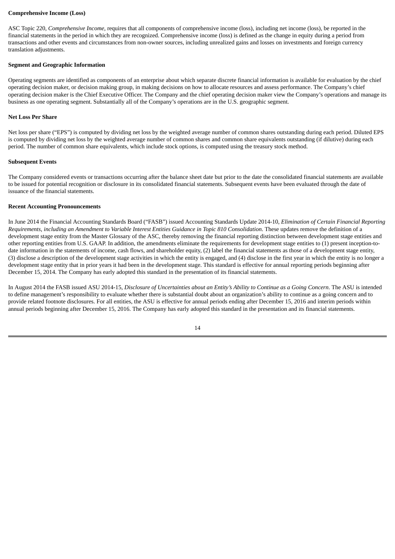### **Comprehensive Income (Loss)**

ASC Topic 220, *Comprehensive Income*, requires that all components of comprehensive income (loss), including net income (loss), be reported in the financial statements in the period in which they are recognized. Comprehensive income (loss) is defined as the change in equity during a period from transactions and other events and circumstances from non-owner sources, including unrealized gains and losses on investments and foreign currency translation adjustments.

### **Segment and Geographic Information**

Operating segments are identified as components of an enterprise about which separate discrete financial information is available for evaluation by the chief operating decision maker, or decision making group, in making decisions on how to allocate resources and assess performance. The Company's chief operating decision maker is the Chief Executive Officer. The Company and the chief operating decision maker view the Company's operations and manage its business as one operating segment. Substantially all of the Company's operations are in the U.S. geographic segment.

### **Net Loss Per Share**

Net loss per share ("EPS") is computed by dividing net loss by the weighted average number of common shares outstanding during each period. Diluted EPS is computed by dividing net loss by the weighted average number of common shares and common share equivalents outstanding (if dilutive) during each period. The number of common share equivalents, which include stock options, is computed using the treasury stock method.

### **Subsequent Events**

The Company considered events or transactions occurring after the balance sheet date but prior to the date the consolidated financial statements are available to be issued for potential recognition or disclosure in its consolidated financial statements. Subsequent events have been evaluated through the date of issuance of the financial statements.

### **Recent Accounting Pronouncements**

In June 2014 the Financial Accounting Standards Board ("FASB") issued Accounting Standards Update 2014-10, *Elimination of Certain Financial Reporting* Requirements, including an Amendment to Variable Interest Entities Guidance in Topic 810 Consolidation. These updates remove the definition of a development stage entity from the Master Glossary of the ASC, thereby removing the financial reporting distinction between development stage entities and other reporting entities from U.S. GAAP. In addition, the amendments eliminate the requirements for development stage entities to (1) present inception-todate information in the statements of income, cash flows, and shareholder equity, (2) label the financial statements as those of a development stage entity, (3) disclose a description of the development stage activities in which the entity is engaged, and (4) disclose in the first year in which the entity is no longer a development stage entity that in prior years it had been in the development stage. This standard is effective for annual reporting periods beginning after December 15, 2014. The Company has early adopted this standard in the presentation of its financial statements.

In August 2014 the FASB issued ASU 2014-15, Disclosure of Uncertainties about an Entity's Ability to Continue as a Going Concern. The ASU is intended to define management's responsibility to evaluate whether there is substantial doubt about an organization's ability to continue as a going concern and to provide related footnote disclosures. For all entities, the ASU is effective for annual periods ending after December 15, 2016 and interim periods within annual periods beginning after December 15, 2016. The Company has early adopted this standard in the presentation and its financial statements.

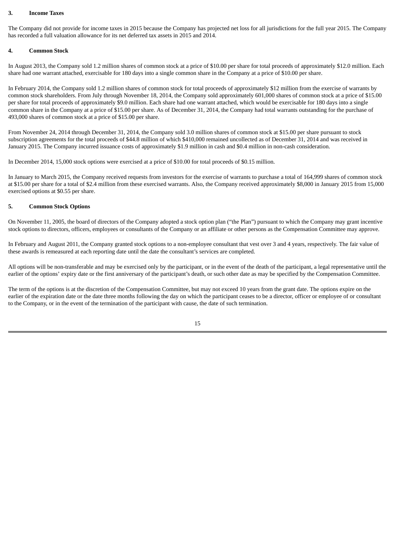### **3. Income Taxes**

The Company did not provide for income taxes in 2015 because the Company has projected net loss for all jurisdictions for the full year 2015. The Company has recorded a full valuation allowance for its net deferred tax assets in 2015 and 2014.

### **4. Common Stock**

In August 2013, the Company sold 1.2 million shares of common stock at a price of \$10.00 per share for total proceeds of approximately \$12.0 million. Each share had one warrant attached, exercisable for 180 days into a single common share in the Company at a price of \$10.00 per share.

In February 2014, the Company sold 1.2 million shares of common stock for total proceeds of approximately \$12 million from the exercise of warrants by common stock shareholders. From July through November 18, 2014, the Company sold approximately 601,000 shares of common stock at a price of \$15.00 per share for total proceeds of approximately \$9.0 million. Each share had one warrant attached, which would be exercisable for 180 days into a single common share in the Company at a price of \$15.00 per share. As of December 31, 2014, the Company had total warrants outstanding for the purchase of 493,000 shares of common stock at a price of \$15.00 per share.

From November 24, 2014 through December 31, 2014, the Company sold 3.0 million shares of common stock at \$15.00 per share pursuant to stock subscription agreements for the total proceeds of \$44.8 million of which \$410,000 remained uncollected as of December 31, 2014 and was received in January 2015. The Company incurred issuance costs of approximately \$1.9 million in cash and \$0.4 million in non-cash consideration.

In December 2014, 15,000 stock options were exercised at a price of \$10.00 for total proceeds of \$0.15 million.

In January to March 2015, the Company received requests from investors for the exercise of warrants to purchase a total of 164,999 shares of common stock at \$15.00 per share for a total of \$2.4 million from these exercised warrants. Also, the Company received approximately \$8,000 in January 2015 from 15,000 exercised options at \$0.55 per share.

### **5. Common Stock Options**

On November 11, 2005, the board of directors of the Company adopted a stock option plan ("the Plan") pursuant to which the Company may grant incentive stock options to directors, officers, employees or consultants of the Company or an affiliate or other persons as the Compensation Committee may approve.

In February and August 2011, the Company granted stock options to a non-employee consultant that vest over 3 and 4 years, respectively. The fair value of these awards is remeasured at each reporting date until the date the consultant's services are completed.

All options will be non-transferable and may be exercised only by the participant, or in the event of the death of the participant, a legal representative until the earlier of the options' expiry date or the first anniversary of the participant's death, or such other date as may be specified by the Compensation Committee.

The term of the options is at the discretion of the Compensation Committee, but may not exceed 10 years from the grant date. The options expire on the earlier of the expiration date or the date three months following the day on which the participant ceases to be a director, officer or employee of or consultant to the Company, or in the event of the termination of the participant with cause, the date of such termination.

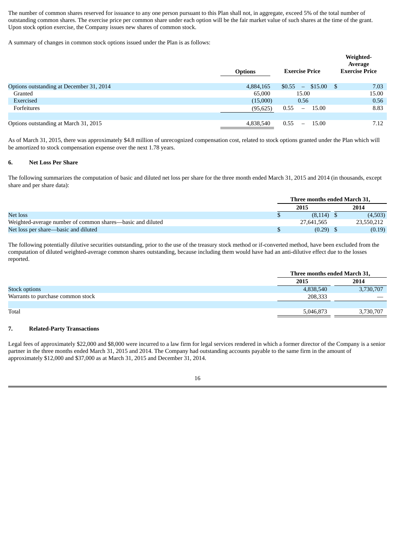The number of common shares reserved for issuance to any one person pursuant to this Plan shall not, in aggregate, exceed 5% of the total number of outstanding common shares. The exercise price per common share under each option will be the fair market value of such shares at the time of the grant. Upon stock option exercise, the Company issues new shares of common stock.

A summary of changes in common stock options issued under the Plan is as follows:

|                                          | <b>Options</b> | <b>Exercise Price</b>                                          | Weighted-<br>Average<br><b>Exercise Price</b> |
|------------------------------------------|----------------|----------------------------------------------------------------|-----------------------------------------------|
| Options outstanding at December 31, 2014 | 4,884,165      | \$0.55<br>$$15.00$ \$<br>$\mathcal{L} \rightarrow \mathcal{L}$ | 7.03                                          |
| Granted                                  | 65,000         | 15.00                                                          | 15.00                                         |
| Exercised                                | (15,000)       | 0.56                                                           | 0.56                                          |
| Forfeitures                              | (95, 625)      | 0.55<br>15.00<br>$\overline{\phantom{0}}$                      | 8.83                                          |
|                                          |                |                                                                |                                               |
| Options outstanding at March 31, 2015    | 4,838,540      | 0.55<br>15.00<br>$\overline{\phantom{0}}$                      | 7.12                                          |

As of March 31, 2015, there was approximately \$4.8 million of unrecognized compensation cost, related to stock options granted under the Plan which will be amortized to stock compensation expense over the next 1.78 years.

### **6. Net Loss Per Share**

The following summarizes the computation of basic and diluted net loss per share for the three month ended March 31, 2015 and 2014 (in thousands, except share and per share data):

|                                                            | Three months ended March 31, |            |  |            |
|------------------------------------------------------------|------------------------------|------------|--|------------|
|                                                            |                              | 2015       |  | 2014       |
| Net loss                                                   |                              | (8.114)    |  | (4,503)    |
| Weighted-average number of common shares—basic and diluted |                              | 27.641.565 |  | 23,550,212 |
| Net loss per share—basic and diluted                       |                              | (0.29)     |  | (0.19)     |

The following potentially dilutive securities outstanding, prior to the use of the treasury stock method or if-converted method, have been excluded from the computation of diluted weighted-average common shares outstanding, because including them would have had an anti-dilutive effect due to the losses reported.

|                                   | Three months ended March 31, |           |  |
|-----------------------------------|------------------------------|-----------|--|
|                                   | 2015                         | 2014      |  |
| Stock options                     | 4,838,540                    | 3,730,707 |  |
| Warrants to purchase common stock | 208.333                      |           |  |
|                                   |                              |           |  |
| Total                             | 5,046,873                    | 3,730,707 |  |

### **7. Related-Party Transactions**

Legal fees of approximately \$22,000 and \$8,000 were incurred to a law firm for legal services rendered in which a former director of the Company is a senior partner in the three months ended March 31, 2015 and 2014. The Company had outstanding accounts payable to the same firm in the amount of approximately \$12,000 and \$37,000 as at March 31, 2015 and December 31, 2014.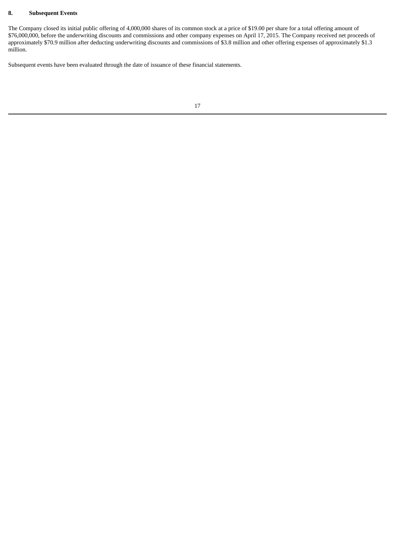### **8. Subsequent Events**

The Company closed its initial public offering of 4,000,000 shares of its common stock at a price of \$19.00 per share for a total offering amount of \$76,000,000, before the underwriting discounts and commissions and other company expenses on April 17, 2015. The Company received net proceeds of approximately \$70.9 million after deducting underwriting discounts and commissions of \$3.8 million and other offering expenses of approximately \$1.3 million.

Subsequent events have been evaluated through the date of issuance of these financial statements.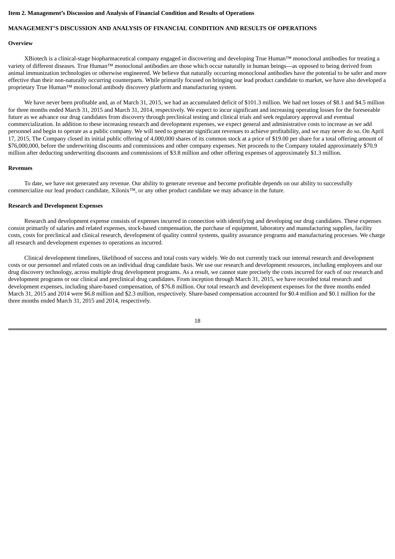#### <span id="page-17-0"></span>**Item 2. Management's Discussion and Analysis of Financial Condition and Results of Operations**

### **MANAGEMENT'S DISCUSSION AND ANALYSIS OF FINANCIAL CONDITION AND RESULTS OF OPERATIONS**

#### **Overview**

XBiotech is a clinical-stage biopharmaceutical company engaged in discovering and developing True Human™ monoclonal antibodies for treating a variety of different diseases. True Human™ monoclonal antibodies are those which occur naturally in human beings—as opposed to being derived from animal immunization technologies or otherwise engineered. We believe that naturally occurring monoclonal antibodies have the potential to be safer and more effective than their non-naturally occurring counterparts. While primarily focused on bringing our lead product candidate to market, we have also developed a proprietary True Human™ monoclonal antibody discovery platform and manufacturing system.

We have never been profitable and, as of March 31, 2015, we had an accumulated deficit of \$101.3 million. We had net losses of \$8.1 and \$4.5 million for three months ended March 31, 2015 and March 31, 2014, respectively. We expect to incur significant and increasing operating losses for the foreseeable future as we advance our drug candidates from discovery through preclinical testing and clinical trials and seek regulatory approval and eventual commercialization. In addition to these increasing research and development expenses, we expect general and administrative costs to increase as we add personnel and begin to operate as a public company. We will need to generate significant revenues to achieve profitability, and we may never do so. On April 17, 2015, The Company closed its initial public offering of 4,000,000 shares of its common stock at a price of \$19.00 per share for a total offering amount of \$76,000,000, before the underwriting discounts and commissions and other company expenses. Net proceeds to the Company totaled approximately \$70.9 million after deducting underwriting discounts and commissions of \$3.8 million and other offering expenses of approximately \$1.3 million.

#### **Revenues**

To date, we have not generated any revenue. Our ability to generate revenue and become profitable depends on our ability to successfully commercialize our lead product candidate, Xilonix™, or any other product candidate we may advance in the future.

#### **Research and Development Expenses**

Research and development expense consists of expenses incurred in connection with identifying and developing our drug candidates. These expenses consist primarily of salaries and related expenses, stock-based compensation, the purchase of equipment, laboratory and manufacturing supplies, facility costs, costs for preclinical and clinical research, development of quality control systems, quality assurance programs and manufacturing processes. We charge all research and development expenses to operations as incurred.

Clinical development timelines, likelihood of success and total costs vary widely. We do not currently track our internal research and development costs or our personnel and related costs on an individual drug candidate basis. We use our research and development resources, including employees and our drug discovery technology, across multiple drug development programs. As a result, we cannot state precisely the costs incurred for each of our research and development programs or our clinical and preclinical drug candidates. From inception through March 31, 2015, we have recorded total research and development expenses, including share-based compensation, of \$76.8 million. Our total research and development expenses for the three months ended March 31, 2015 and 2014 were \$6.8 million and \$2.3 million, respectively. Share-based compensation accounted for \$0.4 million and \$0.1 million for the three months ended March 31, 2015 and 2014, respectively.

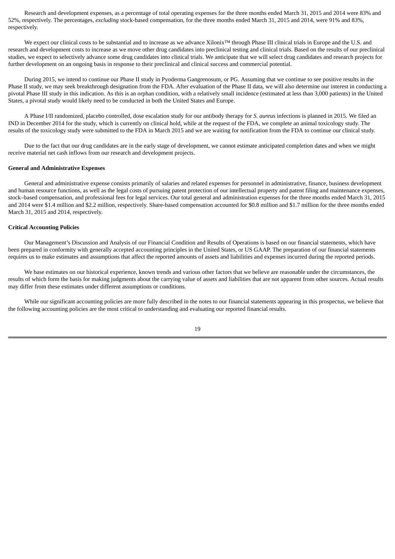Research and development expenses, as a percentage of total operating expenses for the three months ended March 31, 2015 and 2014 were 83% and 52%, respectively. The percentages, *excluding* stock-based compensation, for the three months ended March 31, 2015 and 2014, were 91% and 83%, respectively.

We expect our clinical costs to be substantial and to increase as we advance Xilonix™ through Phase III clinical trials in Europe and the U.S. and research and development costs to increase as we move other drug candidates into preclinical testing and clinical trials. Based on the results of our preclinical studies, we expect to selectively advance some drug candidates into clinical trials. We anticipate that we will select drug candidates and research projects for further development on an ongoing basis in response to their preclinical and clinical success and commercial potential.

During 2015, we intend to continue our Phase II study in Pyoderma Gangrenosum, or PG. Assuming that we continue to see positive results in the Phase II study, we may seek breakthrough designation from the FDA. After evaluation of the Phase II data, we will also determine our interest in conducting a pivotal Phase III study in this indication. As this is an orphan condition, with a relatively small incidence (estimated at less than 3,000 patients) in the United States, a pivotal study would likely need to be conducted in both the United States and Europe.

A Phase I/II randomized, placebo controlled, dose escalation study for our antibody therapy for *S. aureus* infections is planned in 2015. We filed an IND in December 2014 for the study, which is currently on clinical hold, while at the request of the FDA, we complete an animal toxicology study. The results of the toxicology study were submitted to the FDA in March 2015 and we are waiting for notification from the FDA to continue our clinical study.

Due to the fact that our drug candidates are in the early stage of development, we cannot estimate anticipated completion dates and when we might receive material net cash inflows from our research and development projects.

#### **General and Administrative Expenses**

General and administrative expense consists primarily of salaries and related expenses for personnel in administrative, finance, business development and human resource functions, as well as the legal costs of pursuing patent protection of our intellectual property and patent filing and maintenance expenses, stock–based compensation, and professional fees for legal services. Our total general and administration expenses for the three months ended March 31, 2015 and 2014 were \$1.4 million and \$2.2 million, respectively. Share-based compensation accounted for \$0.8 million and \$1.7 million for the three months ended March 31, 2015 and 2014, respectively.

#### **Critical Accounting Policies**

Our Management's Discussion and Analysis of our Financial Condition and Results of Operations is based on our financial statements, which have been prepared in conformity with generally accepted accounting principles in the United States, or US GAAP. The preparation of our financial statements requires us to make estimates and assumptions that affect the reported amounts of assets and liabilities and expenses incurred during the reported periods.

We base estimates on our historical experience, known trends and various other factors that we believe are reasonable under the circumstances, the results of which form the basis for making judgments about the carrying value of assets and liabilities that are not apparent from other sources. Actual results may differ from these estimates under different assumptions or conditions.

While our significant accounting policies are more fully described in the notes to our financial statements appearing in this prospectus, we believe that the following accounting policies are the most critical to understanding and evaluating our reported financial results.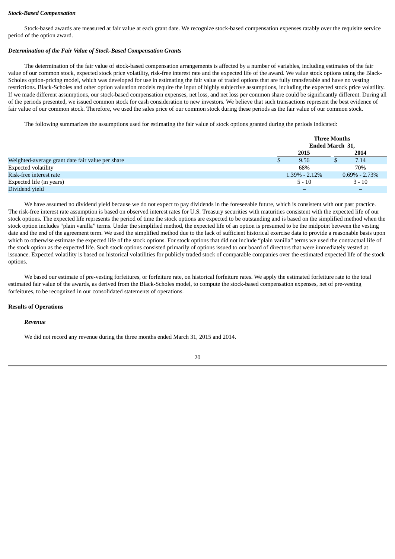#### *Stock-Based Compensation*

Stock-based awards are measured at fair value at each grant date. We recognize stock-based compensation expenses ratably over the requisite service period of the option award.

### *Determination of the Fair Value of Stock-Based Compensation Grants*

The determination of the fair value of stock-based compensation arrangements is affected by a number of variables, including estimates of the fair value of our common stock, expected stock price volatility, risk-free interest rate and the expected life of the award. We value stock options using the Black-Scholes option-pricing model, which was developed for use in estimating the fair value of traded options that are fully transferable and have no vesting restrictions. Black-Scholes and other option valuation models require the input of highly subjective assumptions, including the expected stock price volatility. If we made different assumptions, our stock-based compensation expenses, net loss, and net loss per common share could be significantly different. During all of the periods presented, we issued common stock for cash consideration to new investors. We believe that such transactions represent the best evidence of fair value of our common stock. Therefore, we used the sales price of our common stock during these periods as the fair value of our common stock.

The following summarizes the assumptions used for estimating the fair value of stock options granted during the periods indicated:

|                                                  | <b>Three Months</b><br>Ended March 31, |  |                   |  |
|--------------------------------------------------|----------------------------------------|--|-------------------|--|
|                                                  | 2014<br>2015                           |  |                   |  |
| Weighted-average grant date fair value per share | 9.56                                   |  | 7.14              |  |
| Expected volatility                              | 68%                                    |  | 70%               |  |
| Risk-free interest rate                          | $1.39\% - 2.12\%$                      |  | $0.69\% - 2.73\%$ |  |
| Expected life (in years)                         | $5 - 10$                               |  | $3 - 10$          |  |
| Dividend yield                                   |                                        |  |                   |  |

We have assumed no dividend yield because we do not expect to pay dividends in the foreseeable future, which is consistent with our past practice. The risk-free interest rate assumption is based on observed interest rates for U.S. Treasury securities with maturities consistent with the expected life of our stock options. The expected life represents the period of time the stock options are expected to be outstanding and is based on the simplified method when the stock option includes "plain vanilla" terms. Under the simplified method, the expected life of an option is presumed to be the midpoint between the vesting date and the end of the agreement term. We used the simplified method due to the lack of sufficient historical exercise data to provide a reasonable basis upon which to otherwise estimate the expected life of the stock options. For stock options that did not include "plain vanilla" terms we used the contractual life of the stock option as the expected life. Such stock options consisted primarily of options issued to our board of directors that were immediately vested at issuance. Expected volatility is based on historical volatilities for publicly traded stock of comparable companies over the estimated expected life of the stock options.

We based our estimate of pre-vesting forfeitures, or forfeiture rate, on historical forfeiture rates. We apply the estimated forfeiture rate to the total estimated fair value of the awards, as derived from the Black-Scholes model, to compute the stock-based compensation expenses, net of pre-vesting forfeitures, to be recognized in our consolidated statements of operations.

#### **Results of Operations**

### *Revenue*

We did not record any revenue during the three months ended March 31, 2015 and 2014.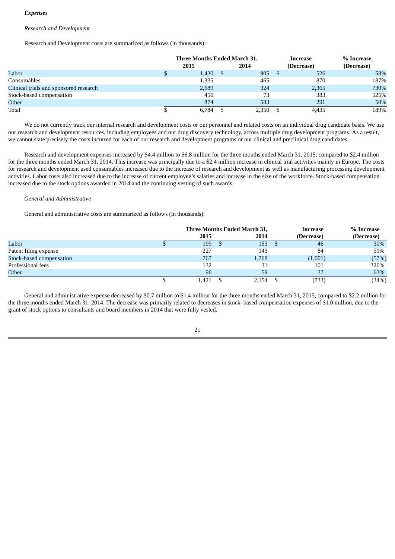### *Expenses*

### *Research and Development*

Research and Development costs are summarized as follows (in thousands):

|                                        | Three Months Ended March 31, |  |       |  | Increase   | % Increase |  |
|----------------------------------------|------------------------------|--|-------|--|------------|------------|--|
|                                        | 2015                         |  | 2014  |  | (Decrease) | (Decrease) |  |
| Labor                                  | 1,430                        |  | 905   |  | 526        | 58%        |  |
| Consumables                            | 1,335                        |  | 465   |  | 870        | 187%       |  |
| Clinical trials and sponsored research | 2,689                        |  | 324   |  | 2,365      | 730%       |  |
| Stock-based compensation               | 456                          |  |       |  | 383        | 525%       |  |
| Other                                  | 874                          |  | 583   |  | 291        | 50%        |  |
| Total                                  | 6.784                        |  | 2,350 |  | 4,435      | 189%       |  |

We do not currently track our internal research and development costs or our personnel and related costs on an individual drug candidate basis. We use our research and development resources, including employees and our drug discovery technology, across multiple drug development programs. As a result, we cannot state precisely the costs incurred for each of our research and development programs or our clinical and preclinical drug candidates.

Research and development expenses increased by \$4.4 million to \$6.8 million for the three months ended March 31, 2015, compared to \$2.4 million for the three months ended March 31, 2014. This increase was principally due to a \$2.4 million increase in clinical trial activities mainly in Europe. The costs for research and development used consumables increased due to the increase of research and development as well as manufacturing processing development activities. Labor costs also increased due to the increase of current employee's salaries and increase in the size of the workforce. Stock-based compensation increased due to the stock options awarded in 2014 and the continuing vesting of such awards.

### *General and Administrative*

General and administrative costs are summarized as follows (in thousands):

|                          | Three Months Ended March 31, |  |       |  | Increase   | % Increase |  |
|--------------------------|------------------------------|--|-------|--|------------|------------|--|
|                          | 2015                         |  | 2014  |  | (Decrease) | (Decrease) |  |
| Labor                    | 199                          |  | 153   |  | 46         | 30%        |  |
| Patent filing expense    | 227                          |  | 143   |  | 84         | 59%        |  |
| Stock-based compensation | 767                          |  | 1,768 |  | (1,001)    | (57%)      |  |
| Professional fees        | 132                          |  | 31    |  | 101        | 326%       |  |
| Other                    | 96                           |  | 59    |  | 37         | 63%        |  |
|                          | 1,421                        |  | 2,154 |  | (733)      | (34%)      |  |

General and administrative expense decreased by \$0.7 million to \$1.4 million for the three months ended March 31, 2015, compared to \$2.2 million for the three months ended March 31, 2014. The decrease was primarily related to decreases in stock–based compensation expenses of \$1.0 million, due to the grant of stock options to consultants and board members in 2014 that were fully vested.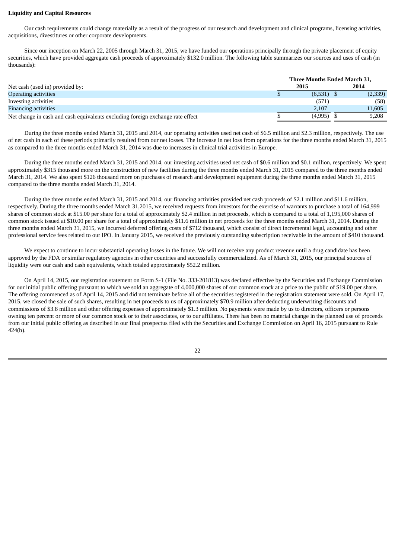### **Liquidity and Capital Resources**

Our cash requirements could change materially as a result of the progress of our research and development and clinical programs, licensing activities, acquisitions, divestitures or other corporate developments.

Since our inception on March 22, 2005 through March 31, 2015, we have funded our operations principally through the private placement of equity securities, which have provided aggregate cash proceeds of approximately \$132.0 million. The following table summarizes our sources and uses of cash (in thousands):

|                                                                                | Three Months Ended March 31, |              |  |         |  |
|--------------------------------------------------------------------------------|------------------------------|--------------|--|---------|--|
| Net cash (used in) provided by:                                                |                              | 2015         |  | 2014    |  |
| <b>Operating activities</b>                                                    |                              | $(6,531)$ \$ |  | (2,339) |  |
| Investing activities                                                           |                              | (571)        |  | (58)    |  |
| <b>Financing activities</b>                                                    |                              | 2.107        |  | 11,605  |  |
| Net change in cash and cash equivalents excluding foreign exchange rate effect |                              | (4,995)      |  | 9,208   |  |

During the three months ended March 31, 2015 and 2014, our operating activities used net cash of \$6.5 million and \$2.3 million, respectively. The use of net cash in each of these periods primarily resulted from our net losses. The increase in net loss from operations for the three months ended March 31, 2015 as compared to the three months ended March 31, 2014 was due to increases in clinical trial activities in Europe.

During the three months ended March 31, 2015 and 2014, our investing activities used net cash of \$0.6 million and \$0.1 million, respectively. We spent approximately \$315 thousand more on the construction of new facilities during the three months ended March 31, 2015 compared to the three months ended March 31, 2014. We also spent \$126 thousand more on purchases of research and development equipment during the three months ended March 31, 2015 compared to the three months ended March 31, 2014.

During the three months ended March 31, 2015 and 2014, our financing activities provided net cash proceeds of \$2.1 million and \$11.6 million, respectively. During the three months ended March 31,2015, we received requests from investors for the exercise of warrants to purchase a total of 164,999 shares of common stock at \$15.00 per share for a total of approximately \$2.4 million in net proceeds, which is compared to a total of 1,195,000 shares of common stock issued at \$10.00 per share for a total of approximately \$11.6 million in net proceeds for the three months ended March 31, 2014. During the three months ended March 31, 2015, we incurred deferred offering costs of \$712 thousand, which consist of direct incremental legal, accounting and other professional service fees related to our IPO. In January 2015, we received the previously outstanding subscription receivable in the amount of \$410 thousand.

We expect to continue to incur substantial operating losses in the future. We will not receive any product revenue until a drug candidate has been approved by the FDA or similar regulatory agencies in other countries and successfully commercialized. As of March 31, 2015, our principal sources of liquidity were our cash and cash equivalents, which totaled approximately \$52.2 million.

On April 14, 2015, our registration statement on Form S-1 (File No. 333-201813) was declared effective by the Securities and Exchange Commission for our initial public offering pursuant to which we sold an aggregate of 4,000,000 shares of our common stock at a price to the public of \$19.00 per share. The offering commenced as of April 14, 2015 and did not terminate before all of the securities registered in the registration statement were sold. On April 17, 2015, we closed the sale of such shares, resulting in net proceeds to us of approximately \$70.9 million after deducting underwriting discounts and commissions of \$3.8 million and other offering expenses of approximately \$1.3 million. No payments were made by us to directors, officers or persons owning ten percent or more of our common stock or to their associates, or to our affiliates. There has been no material change in the planned use of proceeds from our initial public offering as described in our final prospectus filed with the Securities and Exchange Commission on April 16, 2015 pursuant to Rule 424(b).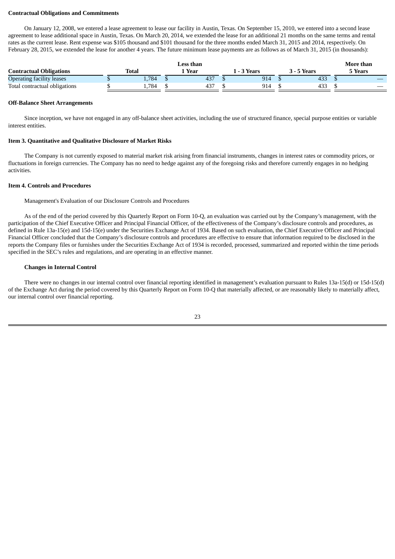### **Contractual Obligations and Commitments**

On January 12, 2008, we entered a lease agreement to lease our facility in Austin, Texas. On September 15, 2010, we entered into a second lease agreement to lease additional space in Austin, Texas. On March 20, 2014, we extended the lease for an additional 21 months on the same terms and rental rates as the current lease. Rent expense was \$105 thousand and \$101 thousand for the three months ended March 31, 2015 and 2014, respectively. On February 28, 2015, we extended the lease for another 4 years. The future minimum lease payments are as follows as of March 31, 2015 (in thousands):

| Less than                        |  |       |  |      |  |           |  | More than   |                                |
|----------------------------------|--|-------|--|------|--|-----------|--|-------------|--------------------------------|
| <b>Contractual Obligations</b>   |  | Total |  | Year |  | - 3 Years |  | 3 - 5 Years | 5 Years                        |
| <b>Operating facility leases</b> |  | 1,784 |  | 437  |  | 914       |  | 433         |                                |
| Total contractual obligations    |  | 1.784 |  | 437  |  | 914       |  | 433         | $\overbrace{\hspace{25mm}}^{}$ |

#### **Off-Balance Sheet Arrangements**

Since inception, we have not engaged in any off-balance sheet activities, including the use of structured finance, special purpose entities or variable interest entities.

### <span id="page-22-0"></span>**Item 3. Quantitative and Qualitative Disclosure of Market Risks**

The Company is not currently exposed to material market risk arising from financial instruments, changes in interest rates or commodity prices, or fluctuations in foreign currencies. The Company has no need to hedge against any of the foregoing risks and therefore currently engages in no hedging activities.

### <span id="page-22-1"></span>**Item 4. Controls and Procedures**

Management's Evaluation of our Disclosure Controls and Procedures

As of the end of the period covered by this Quarterly Report on Form 10-Q, an evaluation was carried out by the Company's management, with the participation of the Chief Executive Officer and Principal Financial Officer, of the effectiveness of the Company's disclosure controls and procedures, as defined in Rule 13a-15(e) and 15d-15(e) under the Securities Exchange Act of 1934. Based on such evaluation, the Chief Executive Officer and Principal Financial Officer concluded that the Company's disclosure controls and procedures are effective to ensure that information required to be disclosed in the reports the Company files or furnishes under the Securities Exchange Act of 1934 is recorded, processed, summarized and reported within the time periods specified in the SEC's rules and regulations, and are operating in an effective manner.

#### **Changes in Internal Control**

There were no changes in our internal control over financial reporting identified in management's evaluation pursuant to Rules 13a-15(d) or 15d-15(d) of the Exchange Act during the period covered by this Quarterly Report on Form 10-Q that materially affected, or are reasonably likely to materially affect, our internal control over financial reporting.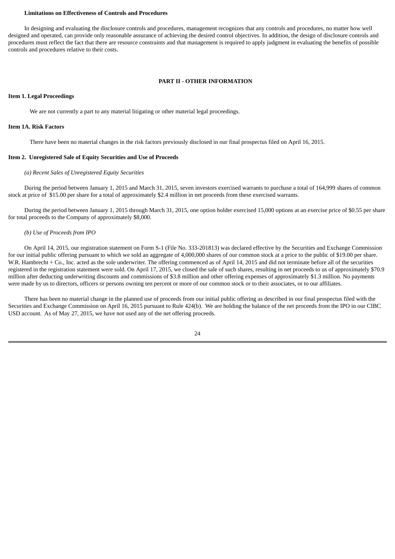### **Limitations on Effectiveness of Controls and Procedures**

In designing and evaluating the disclosure controls and procedures, management recognizes that any controls and procedures, no matter how well designed and operated, can provide only reasonable assurance of achieving the desired control objectives. In addition, the design of disclosure controls and procedures must reflect the fact that there are resource constraints and that management is required to apply judgment in evaluating the benefits of possible controls and procedures relative to their costs.

#### **PART II - OTHER INFORMATION**

#### <span id="page-23-0"></span>**Item 1. Legal Proceedings**

We are not currently a part to any material litigating or other material legal proceedings.

#### <span id="page-23-1"></span>**Item 1A. Risk Factors**

There have been no material changes in the risk factors previously disclosed in our final prospectus filed on April 16, 2015.

### <span id="page-23-2"></span>**Item 2. Unregistered Sale of Equity Securities and Use of Proceeds**

### *(a) Recent Sales of Unregistered Equity Securities*

During the period between January 1, 2015 and March 31, 2015, seven investors exercised warrants to purchase a total of 164,999 shares of common stock at price of \$15.00 per share for a total of approximately \$2.4 million in net proceeds from these exercised warrants.

During the period between January 1, 2015 through March 31, 2015, one option holder exercised 15,000 options at an exercise price of \$0.55 per share for total proceeds to the Company of approximately \$8,000.

### *(b) Use of Proceeds from IPO*

On April 14, 2015, our registration statement on Form S-1 (File No. 333-201813) was declared effective by the Securities and Exchange Commission for our initial public offering pursuant to which we sold an aggregate of 4,000,000 shares of our common stock at a price to the public of \$19.00 per share. W.R. Hambrecht + Co., Inc. acted as the sole underwriter. The offering commenced as of April 14, 2015 and did not terminate before all of the securities registered in the registration statement were sold. On April 17, 2015, we closed the sale of such shares, resulting in net proceeds to us of approximately \$70.9 million after deducting underwriting discounts and commissions of \$3.8 million and other offering expenses of approximately \$1.3 million. No payments were made by us to directors, officers or persons owning ten percent or more of our common stock or to their associates, or to our affiliates.

There has been no material change in the planned use of proceeds from our initial public offering as described in our final prospectus filed with the Securities and Exchange Commission on April 16, 2015 pursuant to Rule 424(b). We are holding the balance of the net proceeds from the IPO in our CIBC USD account. As of May 27, 2015, we have not used any of the net offering proceeds.

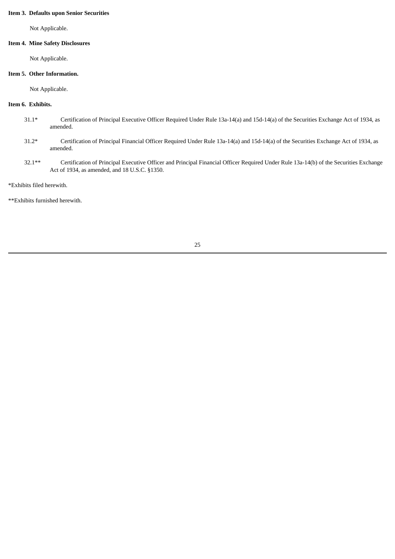### <span id="page-24-0"></span>**Item 3. Defaults upon Senior Securities**

Not Applicable.

### <span id="page-24-1"></span>**Item 4. Mine Safety Disclosures**

Not Applicable.

### <span id="page-24-2"></span>**Item 5. Other Information.**

Not Applicable.

### <span id="page-24-3"></span>**Item 6. Exhibits.**

- 31.1\* Certification of Principal Executive Officer Required Under Rule 13a-14(a) and 15d-14(a) of the Securities Exchange Act of 1934, as amended.
- 31.2\* Certification of Principal Financial Officer Required Under Rule 13a-14(a) and 15d-14(a) of the Securities Exchange Act of 1934, as amended.
- 32.1\*\* Certification of Principal Executive Officer and Principal Financial Officer Required Under Rule 13a-14(b) of the Securities Exchange Act of 1934, as amended, and 18 U.S.C. §1350.

### \*Exhibits filed herewith.

\*\*Exhibits furnished herewith.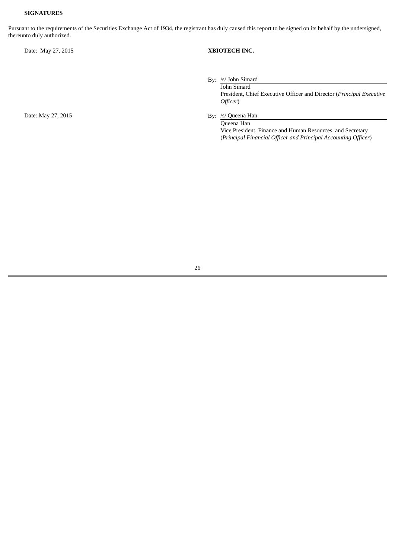<span id="page-25-0"></span>Pursuant to the requirements of the Securities Exchange Act of 1934, the registrant has duly caused this report to be signed on its behalf by the undersigned, thereunto duly authorized.

Date: May 27, 2015 **XBIOTECH INC.** 

By: /s/ John Simard

John Simard President, Chief Executive Officer and Director (*Principal Executive Officer*)

Queena Han Vice President, Finance and Human Resources, and Secretary (*Principal Financial Officer and Principal Accounting Officer*)

26

Date: May 27, 2015 By: /s/ Queena Han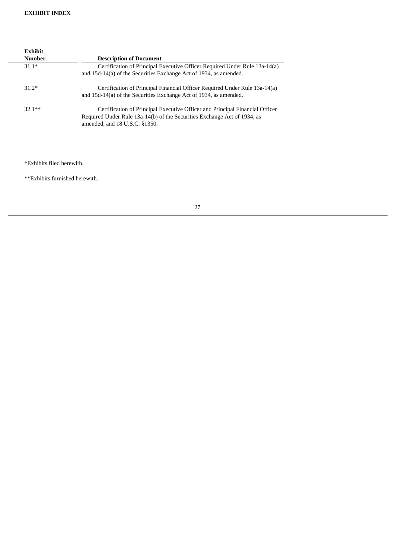j.

<span id="page-26-0"></span>

| Exhibit<br>Number | <b>Description of Document</b>                                                                                                                                                            |
|-------------------|-------------------------------------------------------------------------------------------------------------------------------------------------------------------------------------------|
| $31.1*$           | Certification of Principal Executive Officer Required Under Rule 13a-14(a)<br>and 15d-14(a) of the Securities Exchange Act of 1934, as amended.                                           |
| $31.2*$           | Certification of Principal Financial Officer Required Under Rule 13a-14(a)<br>and 15d-14(a) of the Securities Exchange Act of 1934, as amended.                                           |
| $32.1**$          | Certification of Principal Executive Officer and Principal Financial Officer<br>Required Under Rule 13a-14(b) of the Securities Exchange Act of 1934, as<br>amended, and 18 U.S.C. §1350. |

\*Exhibits filed herewith.

\*\*Exhibits furnished herewith.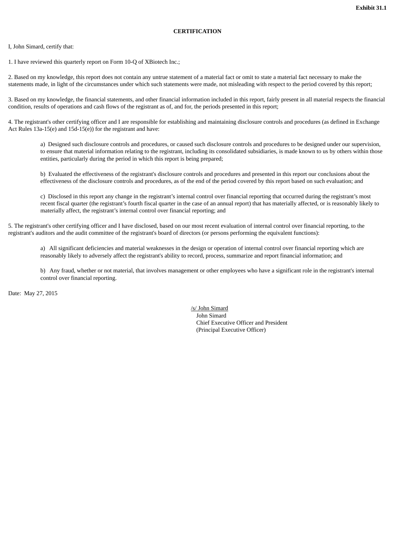### **CERTIFICATION**

### I, John Simard, certify that:

1. I have reviewed this quarterly report on Form 10-Q of XBiotech Inc.;

2. Based on my knowledge, this report does not contain any untrue statement of a material fact or omit to state a material fact necessary to make the statements made, in light of the circumstances under which such statements were made, not misleading with respect to the period covered by this report;

3. Based on my knowledge, the financial statements, and other financial information included in this report, fairly present in all material respects the financial condition, results of operations and cash flows of the registrant as of, and for, the periods presented in this report;

4. The registrant's other certifying officer and I are responsible for establishing and maintaining disclosure controls and procedures (as defined in Exchange Act Rules 13a-15(e) and 15d-15(e)) for the registrant and have:

a) Designed such disclosure controls and procedures, or caused such disclosure controls and procedures to be designed under our supervision, to ensure that material information relating to the registrant, including its consolidated subsidiaries, is made known to us by others within those entities, particularly during the period in which this report is being prepared;

b) Evaluated the effectiveness of the registrant's disclosure controls and procedures and presented in this report our conclusions about the effectiveness of the disclosure controls and procedures, as of the end of the period covered by this report based on such evaluation; and

c) Disclosed in this report any change in the registrant's internal control over financial reporting that occurred during the registrant's most recent fiscal quarter (the registrant's fourth fiscal quarter in the case of an annual report) that has materially affected, or is reasonably likely to materially affect, the registrant's internal control over financial reporting; and

5. The registrant's other certifying officer and I have disclosed, based on our most recent evaluation of internal control over financial reporting, to the registrant's auditors and the audit committee of the registrant's board of directors (or persons performing the equivalent functions):

a) All significant deficiencies and material weaknesses in the design or operation of internal control over financial reporting which are reasonably likely to adversely affect the registrant's ability to record, process, summarize and report financial information; and

b) Any fraud, whether or not material, that involves management or other employees who have a significant role in the registrant's internal control over financial reporting.

Date: May 27, 2015

/s/ John Simard John Simard Chief Executive Officer and President (Principal Executive Officer)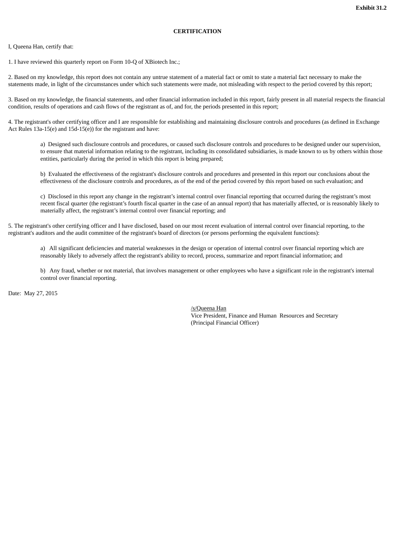### **CERTIFICATION**

### I, Queena Han, certify that:

1. I have reviewed this quarterly report on Form 10-Q of XBiotech Inc.;

2. Based on my knowledge, this report does not contain any untrue statement of a material fact or omit to state a material fact necessary to make the statements made, in light of the circumstances under which such statements were made, not misleading with respect to the period covered by this report;

3. Based on my knowledge, the financial statements, and other financial information included in this report, fairly present in all material respects the financial condition, results of operations and cash flows of the registrant as of, and for, the periods presented in this report;

4. The registrant's other certifying officer and I are responsible for establishing and maintaining disclosure controls and procedures (as defined in Exchange Act Rules 13a-15(e) and 15d-15(e)) for the registrant and have:

a) Designed such disclosure controls and procedures, or caused such disclosure controls and procedures to be designed under our supervision, to ensure that material information relating to the registrant, including its consolidated subsidiaries, is made known to us by others within those entities, particularly during the period in which this report is being prepared;

b) Evaluated the effectiveness of the registrant's disclosure controls and procedures and presented in this report our conclusions about the effectiveness of the disclosure controls and procedures, as of the end of the period covered by this report based on such evaluation; and

c) Disclosed in this report any change in the registrant's internal control over financial reporting that occurred during the registrant's most recent fiscal quarter (the registrant's fourth fiscal quarter in the case of an annual report) that has materially affected, or is reasonably likely to materially affect, the registrant's internal control over financial reporting; and

5. The registrant's other certifying officer and I have disclosed, based on our most recent evaluation of internal control over financial reporting, to the registrant's auditors and the audit committee of the registrant's board of directors (or persons performing the equivalent functions):

a) All significant deficiencies and material weaknesses in the design or operation of internal control over financial reporting which are reasonably likely to adversely affect the registrant's ability to record, process, summarize and report financial information; and

b) Any fraud, whether or not material, that involves management or other employees who have a significant role in the registrant's internal control over financial reporting.

Date: May 27, 2015

/s/Queena Han Vice President, Finance and Human Resources and Secretary (Principal Financial Officer)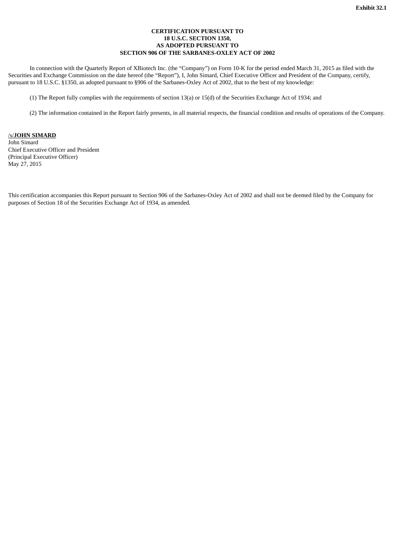### **CERTIFICATION PURSUANT TO 18 U.S.C. SECTION 1350, AS ADOPTED PURSUANT TO SECTION 906 OF THE SARBANES-OXLEY ACT OF 2002**

In connection with the Quarterly Report of XBiotech Inc. (the "Company") on Form 10-K for the period ended March 31, 2015 as filed with the Securities and Exchange Commission on the date hereof (the "Report"), I, John Simard, Chief Executive Officer and President of the Company, certify, pursuant to 18 U.S.C. §1350, as adopted pursuant to §906 of the Sarbanes-Oxley Act of 2002, that to the best of my knowledge:

(1) The Report fully complies with the requirements of section 13(a) or 15(d) of the Securities Exchange Act of 1934; and

(2) The information contained in the Report fairly presents, in all material respects, the financial condition and results of operations of the Company.

/s/**JOHN SIMARD** John Simard Chief Executive Officer and President (Principal Executive Officer) May 27, 2015

This certification accompanies this Report pursuant to Section 906 of the Sarbanes-Oxley Act of 2002 and shall not be deemed filed by the Company for purposes of Section 18 of the Securities Exchange Act of 1934, as amended.